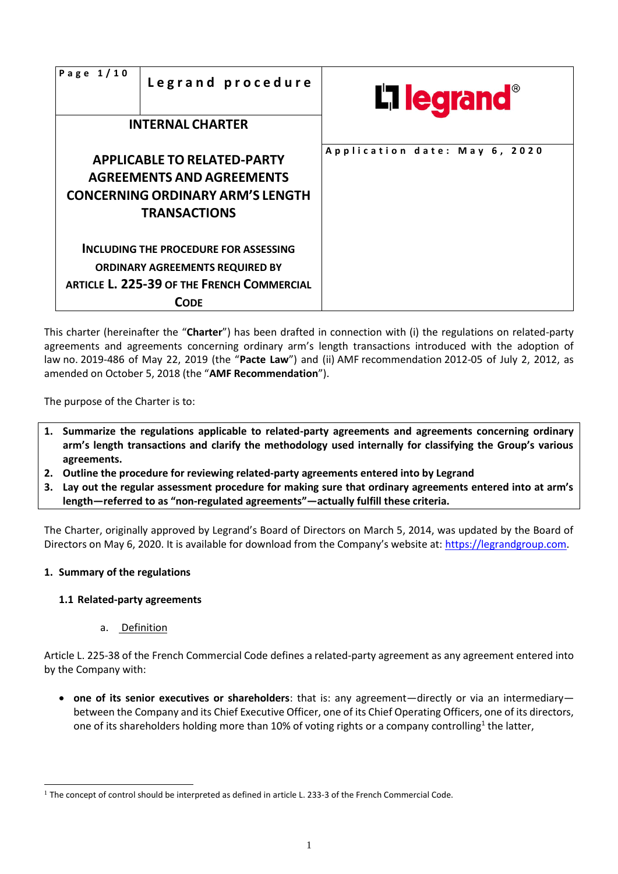| Page $1/10$ | Legrand procedure                                                                                                                            | <b>L'1 legrand</b>            |
|-------------|----------------------------------------------------------------------------------------------------------------------------------------------|-------------------------------|
|             | <b>INTERNAL CHARTER</b>                                                                                                                      |                               |
|             | <b>APPLICABLE TO RELATED-PARTY</b><br><b>AGREEMENTS AND AGREEMENTS</b><br><b>CONCERNING ORDINARY ARM'S LENGTH</b><br><b>TRANSACTIONS</b>     | Application date: May 6, 2020 |
|             | INCLUDING THE PROCEDURE FOR ASSESSING<br><b>ORDINARY AGREEMENTS REQUIRED BY</b><br>ARTICLE L. 225-39 OF THE FRENCH COMMERCIAL<br><b>CODE</b> |                               |

This charter (hereinafter the "**Charter**") has been drafted in connection with (i) the regulations on related-party agreements and agreements concerning ordinary arm's length transactions introduced with the adoption of law no. 2019-486 of May 22, 2019 (the "**Pacte Law**") and (ii) AMF recommendation 2012-05 of July 2, 2012, as amended on October 5, 2018 (the "**AMF Recommendation**").

The purpose of the Charter is to:

- **1. Summarize the regulations applicable to related-party agreements and agreements concerning ordinary arm's length transactions and clarify the methodology used internally for classifying the Group's various agreements.**
- **2. Outline the procedure for reviewing related-party agreements entered into by Legrand**
- **3. Lay out the regular assessment procedure for making sure that ordinary agreements entered into at arm's length—referred to as "non-regulated agreements"—actually fulfill these criteria.**

The Charter, originally approved by Legrand's Board of Directors on March 5, 2014, was updated by the Board of Directors on May 6, 2020. It is available for download from the Company's website at: [https://legrandgroup.com.](https://legrandgroup.com/)

#### **1. Summary of the regulations**

# **1.1 Related-party agreements**

a. Definition

Article L. 225-38 of the French Commercial Code defines a related-party agreement as any agreement entered into by the Company with:

• **one of its senior executives or shareholders**: that is: any agreement—directly or via an intermediary between the Company and its Chief Executive Officer, one of its Chief Operating Officers, one of its directors, one of its shareholders holding more than 10% of voting rights or a company controlling<sup>1</sup> the latter,

 $1$  The concept of control should be interpreted as defined in article L. 233-3 of the French Commercial Code.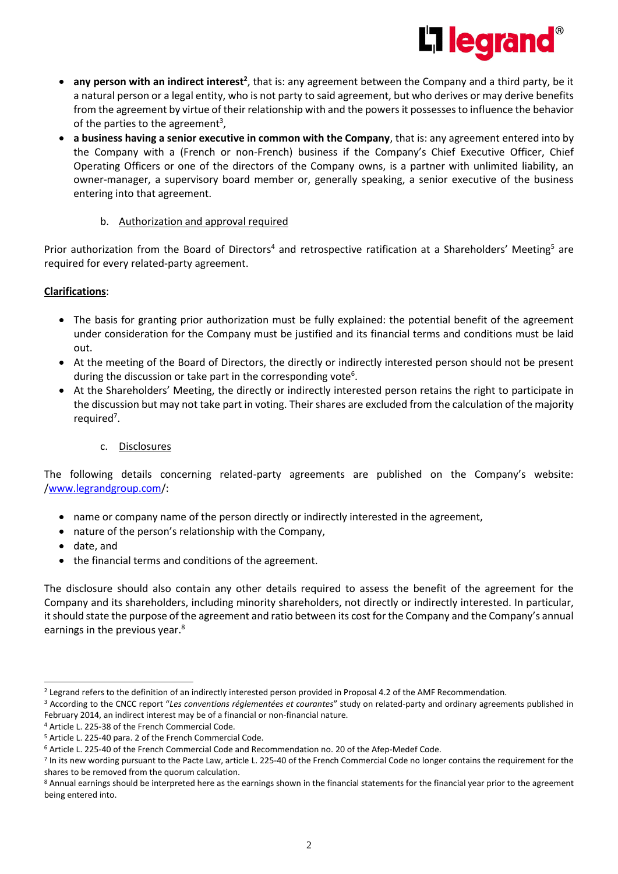

- **any person with an indirect interest<sup>2</sup>,** that is: any agreement between the Company and a third party, be it a natural person or a legal entity, who is not party to said agreement, but who derives or may derive benefits from the agreement by virtue of their relationship with and the powers it possesses to influence the behavior of the parties to the agreement<sup>3</sup>,
- **a business having a senior executive in common with the Company**, that is: any agreement entered into by the Company with a (French or non-French) business if the Company's Chief Executive Officer, Chief Operating Officers or one of the directors of the Company owns, is a partner with unlimited liability, an owner-manager, a supervisory board member or, generally speaking, a senior executive of the business entering into that agreement.

#### b. Authorization and approval required

Prior authorization from the Board of Directors<sup>4</sup> and retrospective ratification at a Shareholders' Meeting<sup>5</sup> are required for every related-party agreement.

### **Clarifications**:

- The basis for granting prior authorization must be fully explained: the potential benefit of the agreement under consideration for the Company must be justified and its financial terms and conditions must be laid out.
- At the meeting of the Board of Directors, the directly or indirectly interested person should not be present during the discussion or take part in the corresponding vote<sup>6</sup>.
- At the Shareholders' Meeting, the directly or indirectly interested person retains the right to participate in the discussion but may not take part in voting. Their shares are excluded from the calculation of the majority required<sup>7</sup>.

# c. Disclosures

The following details concerning related-party agreements are published on the Company's website: [/www.legrandgroup.com/](http://www.legrandgroup.com/):

- name or company name of the person directly or indirectly interested in the agreement,
- nature of the person's relationship with the Company,
- date, and
- the financial terms and conditions of the agreement.

The disclosure should also contain any other details required to assess the benefit of the agreement for the Company and its shareholders, including minority shareholders, not directly or indirectly interested. In particular, it should state the purpose of the agreement and ratio between its cost for the Company and the Company's annual earnings in the previous year.<sup>8</sup>

<sup>&</sup>lt;sup>2</sup> Legrand refers to the definition of an indirectly interested person provided in Proposal 4.2 of the AMF Recommendation.

<sup>3</sup> According to the CNCC report "*Les conventions réglementées et courantes*" study on related-party and ordinary agreements published in February 2014, an indirect interest may be of a financial or non-financial nature.

<sup>4</sup> Article L. 225-38 of the French Commercial Code.

<sup>5</sup> Article L. 225-40 para. 2 of the French Commercial Code.

<sup>6</sup> Article L. 225-40 of the French Commercial Code and Recommendation no. 20 of the Afep-Medef Code.

<sup>&</sup>lt;sup>7</sup> In its new wording pursuant to the Pacte Law, article L. 225-40 of the French Commercial Code no longer contains the requirement for the shares to be removed from the quorum calculation.

<sup>8</sup> Annual earnings should be interpreted here as the earnings shown in the financial statements for the financial year prior to the agreement being entered into.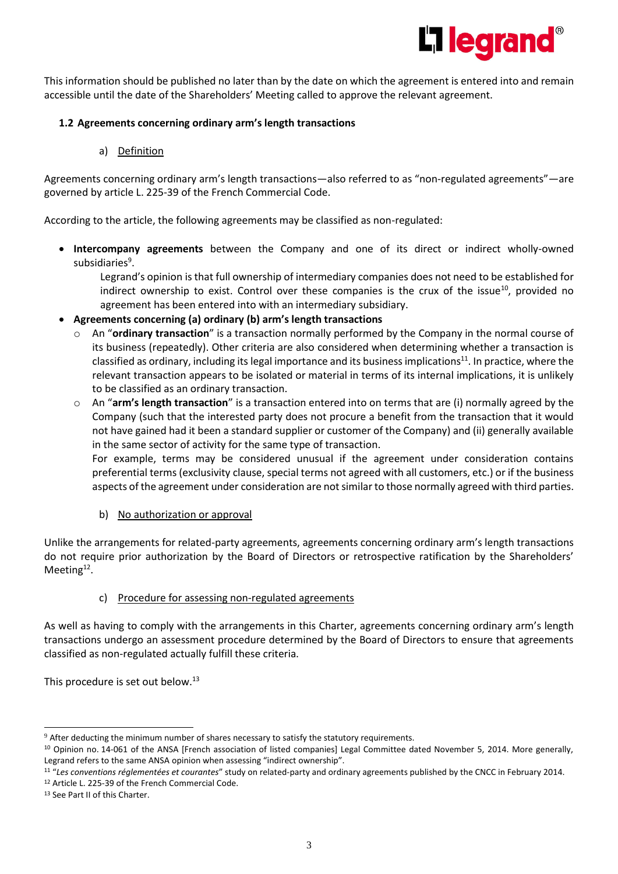

This information should be published no later than by the date on which the agreement is entered into and remain accessible until the date of the Shareholders' Meeting called to approve the relevant agreement.

### **1.2 Agreements concerning ordinary arm's length transactions**

a) Definition

Agreements concerning ordinary arm's length transactions—also referred to as "non-regulated agreements"—are governed by article L. 225-39 of the French Commercial Code.

According to the article, the following agreements may be classified as non-regulated:

• **Intercompany agreements** between the Company and one of its direct or indirect wholly-owned subsidiaries<sup>9</sup>.

Legrand's opinion is that full ownership of intermediary companies does not need to be established for indirect ownership to exist. Control over these companies is the crux of the issue<sup>10</sup>, provided no agreement has been entered into with an intermediary subsidiary.

- **Agreements concerning (a) ordinary (b) arm's length transactions**
	- o An "**ordinary transaction**" is a transaction normally performed by the Company in the normal course of its business (repeatedly). Other criteria are also considered when determining whether a transaction is classified as ordinary, including its legal importance and its business implications<sup>11</sup>. In practice, where the relevant transaction appears to be isolated or material in terms of its internal implications, it is unlikely to be classified as an ordinary transaction.
	- o An "**arm's length transaction**" is a transaction entered into on terms that are (i) normally agreed by the Company (such that the interested party does not procure a benefit from the transaction that it would not have gained had it been a standard supplier or customer of the Company) and (ii) generally available in the same sector of activity for the same type of transaction.

For example, terms may be considered unusual if the agreement under consideration contains preferential terms (exclusivity clause, special terms not agreed with all customers, etc.) or if the business aspects of the agreement under consideration are not similar to those normally agreed with third parties.

b) No authorization or approval

Unlike the arrangements for related-party agreements, agreements concerning ordinary arm's length transactions do not require prior authorization by the Board of Directors or retrospective ratification by the Shareholders' Meeting<sup>12</sup>.

#### c) Procedure for assessing non-regulated agreements

As well as having to comply with the arrangements in this Charter, agreements concerning ordinary arm's length transactions undergo an assessment procedure determined by the Board of Directors to ensure that agreements classified as non-regulated actually fulfill these criteria.

This procedure is set out below.<sup>13</sup>

<sup>&</sup>lt;sup>9</sup> After deducting the minimum number of shares necessary to satisfy the statutory requirements.

<sup>&</sup>lt;sup>10</sup> Opinion no. 14-061 of the ANSA [French association of listed companies] Legal Committee dated November 5, 2014. More generally, Legrand refers to the same ANSA opinion when assessing "indirect ownership".

<sup>11</sup> "*Les conventions réglementées et courantes*" study on related-party and ordinary agreements published by the CNCC in February 2014. <sup>12</sup> Article L. 225-39 of the French Commercial Code.

<sup>13</sup> See Part II of this Charter.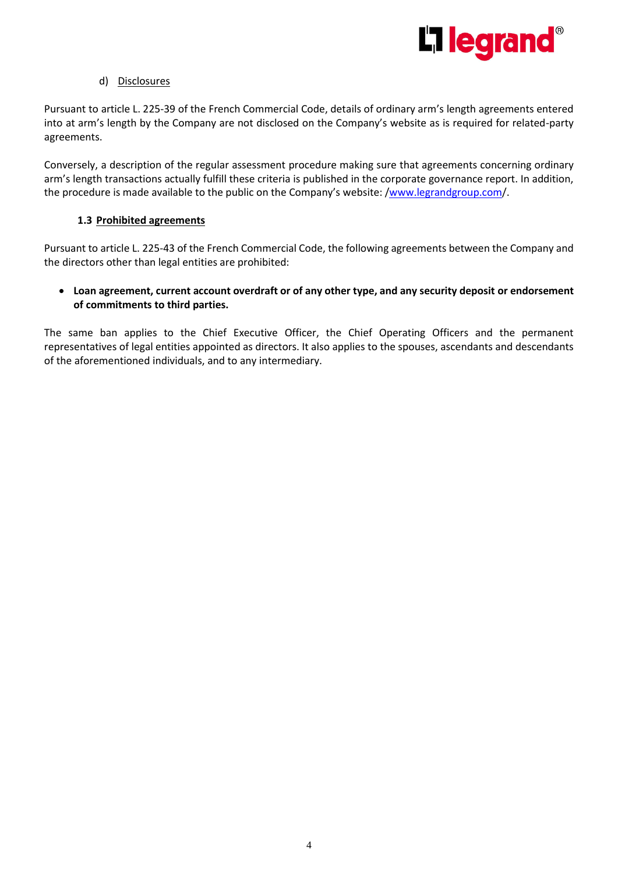

#### d) Disclosures

Pursuant to article L. 225-39 of the French Commercial Code, details of ordinary arm's length agreements entered into at arm's length by the Company are not disclosed on the Company's website as is required for related-party agreements.

Conversely, a description of the regular assessment procedure making sure that agreements concerning ordinary arm's length transactions actually fulfill these criteria is published in the corporate governance report. In addition, the procedure is made available to the public on the Company's website: [/www.legrandgroup.com/](http://www.legrandgroup.com/).

### **1.3 Prohibited agreements**

Pursuant to article L. 225-43 of the French Commercial Code, the following agreements between the Company and the directors other than legal entities are prohibited:

# • **Loan agreement, current account overdraft or of any other type, and any security deposit or endorsement of commitments to third parties.**

The same ban applies to the Chief Executive Officer, the Chief Operating Officers and the permanent representatives of legal entities appointed as directors. It also applies to the spouses, ascendants and descendants of the aforementioned individuals, and to any intermediary.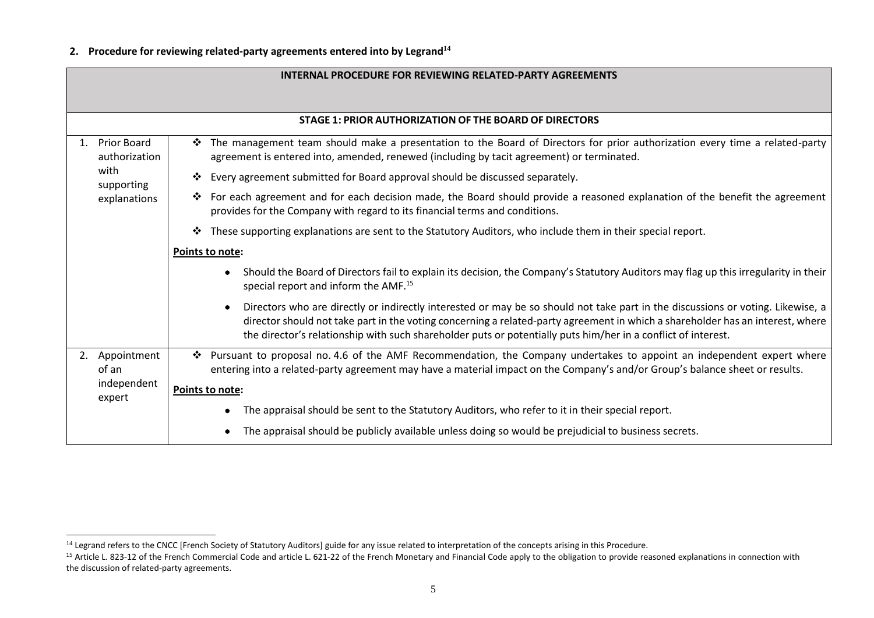# **2. Procedure for reviewing related-party agreements entered into by Legrand<sup>14</sup>**

|  | <b>INTERNAL PROCEDURE FOR REVIEWING RELATED-PARTY AGREEMENTS</b>   |                                                                                                                                                                                                                                                                                                                                                                                    |  |
|--|--------------------------------------------------------------------|------------------------------------------------------------------------------------------------------------------------------------------------------------------------------------------------------------------------------------------------------------------------------------------------------------------------------------------------------------------------------------|--|
|  |                                                                    |                                                                                                                                                                                                                                                                                                                                                                                    |  |
|  |                                                                    | STAGE 1: PRIOR AUTHORIZATION OF THE BOARD OF DIRECTORS                                                                                                                                                                                                                                                                                                                             |  |
|  | Prior Board<br>authorization<br>with<br>supporting<br>explanations | * The management team should make a presentation to the Board of Directors for prior authorization every time a related-party<br>agreement is entered into, amended, renewed (including by tacit agreement) or terminated.                                                                                                                                                         |  |
|  |                                                                    | Every agreement submitted for Board approval should be discussed separately.<br>❖                                                                                                                                                                                                                                                                                                  |  |
|  |                                                                    | * For each agreement and for each decision made, the Board should provide a reasoned explanation of the benefit the agreement<br>provides for the Company with regard to its financial terms and conditions.                                                                                                                                                                       |  |
|  |                                                                    | These supporting explanations are sent to the Statutory Auditors, who include them in their special report.<br>❖                                                                                                                                                                                                                                                                   |  |
|  |                                                                    | <b>Points to note:</b>                                                                                                                                                                                                                                                                                                                                                             |  |
|  |                                                                    | Should the Board of Directors fail to explain its decision, the Company's Statutory Auditors may flag up this irregularity in their<br>special report and inform the AMF. <sup>15</sup>                                                                                                                                                                                            |  |
|  |                                                                    | Directors who are directly or indirectly interested or may be so should not take part in the discussions or voting. Likewise, a<br>director should not take part in the voting concerning a related-party agreement in which a shareholder has an interest, where<br>the director's relationship with such shareholder puts or potentially puts him/her in a conflict of interest. |  |
|  | 2. Appointment<br>of an                                            | * Pursuant to proposal no. 4.6 of the AMF Recommendation, the Company undertakes to appoint an independent expert where<br>entering into a related-party agreement may have a material impact on the Company's and/or Group's balance sheet or results.                                                                                                                            |  |
|  | independent                                                        |                                                                                                                                                                                                                                                                                                                                                                                    |  |
|  | expert                                                             | Points to note:                                                                                                                                                                                                                                                                                                                                                                    |  |
|  |                                                                    | The appraisal should be sent to the Statutory Auditors, who refer to it in their special report.                                                                                                                                                                                                                                                                                   |  |
|  |                                                                    | The appraisal should be publicly available unless doing so would be prejudicial to business secrets.                                                                                                                                                                                                                                                                               |  |

<sup>&</sup>lt;sup>14</sup> Legrand refers to the CNCC [French Society of Statutory Auditors] guide for any issue related to interpretation of the concepts arising in this Procedure.

<sup>&</sup>lt;sup>15</sup> Article L. 823-12 of the French Commercial Code and article L. 621-22 of the French Monetary and Financial Code apply to the obligation to provide reasoned explanations in connection with the discussion of related-party agreements.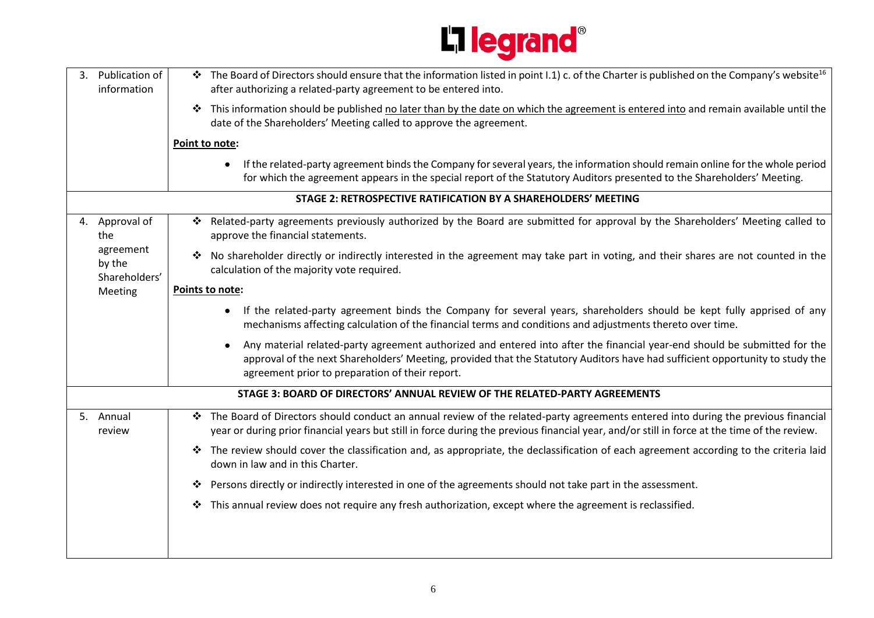

| 3. | Publication of<br>information                                            | The Board of Directors should ensure that the information listed in point I.1) c. of the Charter is published on the Company's website <sup>16</sup><br>after authorizing a related-party agreement to be entered into.                                                                                                    |
|----|--------------------------------------------------------------------------|----------------------------------------------------------------------------------------------------------------------------------------------------------------------------------------------------------------------------------------------------------------------------------------------------------------------------|
|    |                                                                          | This information should be published no later than by the date on which the agreement is entered into and remain available until the<br>❖<br>date of the Shareholders' Meeting called to approve the agreement.                                                                                                            |
|    |                                                                          | Point to note:                                                                                                                                                                                                                                                                                                             |
|    |                                                                          | If the related-party agreement binds the Company for several years, the information should remain online for the whole period<br>$\bullet$<br>for which the agreement appears in the special report of the Statutory Auditors presented to the Shareholders' Meeting.                                                      |
|    |                                                                          | STAGE 2: RETROSPECTIVE RATIFICATION BY A SHAREHOLDERS' MEETING                                                                                                                                                                                                                                                             |
|    | 4. Approval of<br>the<br>agreement<br>by the<br>Shareholders'<br>Meeting | Related-party agreements previously authorized by the Board are submitted for approval by the Shareholders' Meeting called to<br>❖<br>approve the financial statements.                                                                                                                                                    |
|    |                                                                          | No shareholder directly or indirectly interested in the agreement may take part in voting, and their shares are not counted in the<br>❖<br>calculation of the majority vote required.                                                                                                                                      |
|    |                                                                          | Points to note:                                                                                                                                                                                                                                                                                                            |
|    |                                                                          | If the related-party agreement binds the Company for several years, shareholders should be kept fully apprised of any<br>$\bullet$<br>mechanisms affecting calculation of the financial terms and conditions and adjustments thereto over time.                                                                            |
|    |                                                                          | Any material related-party agreement authorized and entered into after the financial year-end should be submitted for the<br>$\bullet$<br>approval of the next Shareholders' Meeting, provided that the Statutory Auditors have had sufficient opportunity to study the<br>agreement prior to preparation of their report. |
|    |                                                                          | STAGE 3: BOARD OF DIRECTORS' ANNUAL REVIEW OF THE RELATED-PARTY AGREEMENTS                                                                                                                                                                                                                                                 |
|    | 5. Annual<br>review                                                      | The Board of Directors should conduct an annual review of the related-party agreements entered into during the previous financial<br>❖<br>year or during prior financial years but still in force during the previous financial year, and/or still in force at the time of the review.                                     |
|    |                                                                          | The review should cover the classification and, as appropriate, the declassification of each agreement according to the criteria laid<br>❖<br>down in law and in this Charter.                                                                                                                                             |
|    |                                                                          | Persons directly or indirectly interested in one of the agreements should not take part in the assessment.<br>❖                                                                                                                                                                                                            |
|    |                                                                          | This annual review does not require any fresh authorization, except where the agreement is reclassified.<br>❖                                                                                                                                                                                                              |
|    |                                                                          |                                                                                                                                                                                                                                                                                                                            |
|    |                                                                          |                                                                                                                                                                                                                                                                                                                            |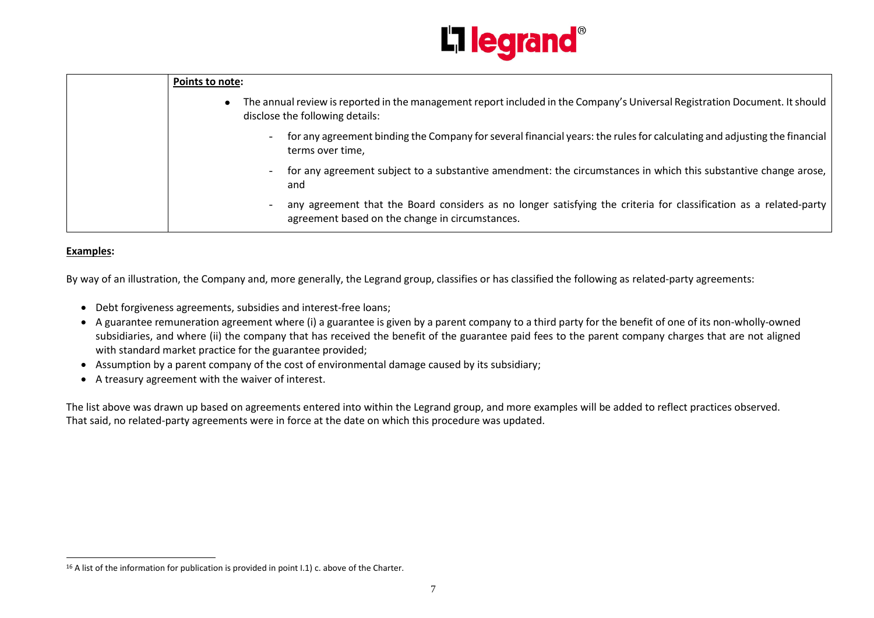

| <b>Points to note:</b>                                                                                                                                               |
|----------------------------------------------------------------------------------------------------------------------------------------------------------------------|
| The annual review is reported in the management report included in the Company's Universal Registration Document. It should<br>disclose the following details:       |
| for any agreement binding the Company for several financial years: the rules for calculating and adjusting the financial<br>terms over time,                         |
| for any agreement subject to a substantive amendment: the circumstances in which this substantive change arose,<br>and                                               |
| any agreement that the Board considers as no longer satisfying the criteria for classification as a related-party<br>agreement based on the change in circumstances. |

#### **Examples:**

By way of an illustration, the Company and, more generally, the Legrand group, classifies or has classified the following as related-party agreements:

- Debt forgiveness agreements, subsidies and interest-free loans;
- A guarantee remuneration agreement where (i) a guarantee is given by a parent company to a third party for the benefit of one of its non-wholly-owned subsidiaries, and where (ii) the company that has received the benefit of the guarantee paid fees to the parent company charges that are not aligned with standard market practice for the guarantee provided;
- Assumption by a parent company of the cost of environmental damage caused by its subsidiary;
- A treasury agreement with the waiver of interest.

The list above was drawn up based on agreements entered into within the Legrand group, and more examples will be added to reflect practices observed. That said, no related-party agreements were in force at the date on which this procedure was updated.

<sup>&</sup>lt;sup>16</sup> A list of the information for publication is provided in point I.1) c. above of the Charter.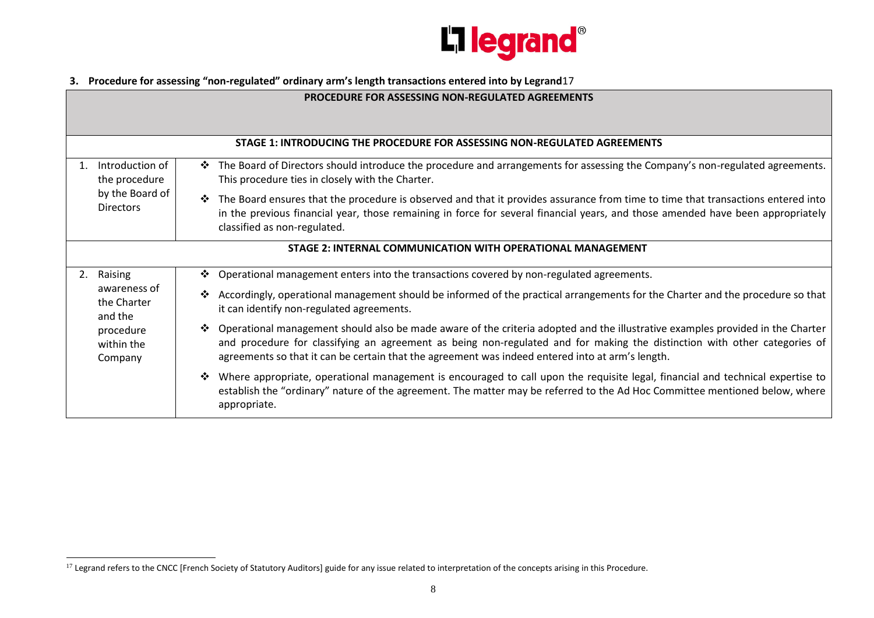

# **3. Procedure for assessing "non-regulated" ordinary arm's length transactions entered into by Legrand**17

| <b>PROCEDURE FOR ASSESSING NON-REGULATED AGREEMENTS</b>     |                                                                                                                                                                                                                                                                                                                                                                      |  |  |  |
|-------------------------------------------------------------|----------------------------------------------------------------------------------------------------------------------------------------------------------------------------------------------------------------------------------------------------------------------------------------------------------------------------------------------------------------------|--|--|--|
|                                                             |                                                                                                                                                                                                                                                                                                                                                                      |  |  |  |
|                                                             | STAGE 1: INTRODUCING THE PROCEDURE FOR ASSESSING NON-REGULATED AGREEMENTS                                                                                                                                                                                                                                                                                            |  |  |  |
| Introduction of<br>the procedure                            | The Board of Directors should introduce the procedure and arrangements for assessing the Company's non-regulated agreements.<br>❖<br>This procedure ties in closely with the Charter.                                                                                                                                                                                |  |  |  |
| by the Board of<br><b>Directors</b>                         | The Board ensures that the procedure is observed and that it provides assurance from time to time that transactions entered into<br>❖<br>in the previous financial year, those remaining in force for several financial years, and those amended have been appropriately<br>classified as non-regulated.                                                             |  |  |  |
| STAGE 2: INTERNAL COMMUNICATION WITH OPERATIONAL MANAGEMENT |                                                                                                                                                                                                                                                                                                                                                                      |  |  |  |
| Raising<br>2.                                               | Operational management enters into the transactions covered by non-regulated agreements.<br>❖                                                                                                                                                                                                                                                                        |  |  |  |
| awareness of<br>the Charter<br>and the                      | Accordingly, operational management should be informed of the practical arrangements for the Charter and the procedure so that<br>❖<br>it can identify non-regulated agreements.                                                                                                                                                                                     |  |  |  |
| procedure<br>within the<br>Company                          | Operational management should also be made aware of the criteria adopted and the illustrative examples provided in the Charter<br>❖<br>and procedure for classifying an agreement as being non-regulated and for making the distinction with other categories of<br>agreements so that it can be certain that the agreement was indeed entered into at arm's length. |  |  |  |
|                                                             | Where appropriate, operational management is encouraged to call upon the requisite legal, financial and technical expertise to<br>❖<br>establish the "ordinary" nature of the agreement. The matter may be referred to the Ad Hoc Committee mentioned below, where<br>appropriate.                                                                                   |  |  |  |

<sup>&</sup>lt;sup>17</sup> Legrand refers to the CNCC [French Society of Statutory Auditors] guide for any issue related to interpretation of the concepts arising in this Procedure.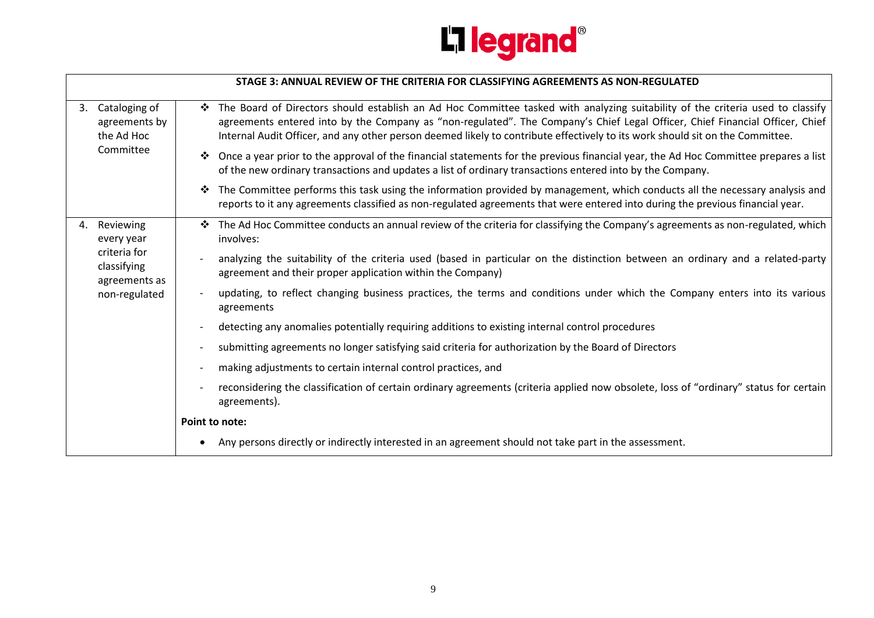

|    |                                                                                          |                          | STAGE 3: ANNUAL REVIEW OF THE CRITERIA FOR CLASSIFYING AGREEMENTS AS NON-REGULATED                                                                                                                                                                                                                                                                                                              |
|----|------------------------------------------------------------------------------------------|--------------------------|-------------------------------------------------------------------------------------------------------------------------------------------------------------------------------------------------------------------------------------------------------------------------------------------------------------------------------------------------------------------------------------------------|
| 3. | Cataloging of<br>agreements by<br>the Ad Hoc<br>Committee                                | ❖                        | The Board of Directors should establish an Ad Hoc Committee tasked with analyzing suitability of the criteria used to classify<br>agreements entered into by the Company as "non-regulated". The Company's Chief Legal Officer, Chief Financial Officer, Chief<br>Internal Audit Officer, and any other person deemed likely to contribute effectively to its work should sit on the Committee. |
|    |                                                                                          | ❖                        | Once a year prior to the approval of the financial statements for the previous financial year, the Ad Hoc Committee prepares a list<br>of the new ordinary transactions and updates a list of ordinary transactions entered into by the Company.                                                                                                                                                |
|    |                                                                                          | ❖                        | The Committee performs this task using the information provided by management, which conducts all the necessary analysis and<br>reports to it any agreements classified as non-regulated agreements that were entered into during the previous financial year.                                                                                                                                  |
| 4. | Reviewing<br>every year<br>criteria for<br>classifying<br>agreements as<br>non-regulated |                          | The Ad Hoc Committee conducts an annual review of the criteria for classifying the Company's agreements as non-regulated, which<br>involves:                                                                                                                                                                                                                                                    |
|    |                                                                                          |                          | analyzing the suitability of the criteria used (based in particular on the distinction between an ordinary and a related-party<br>agreement and their proper application within the Company)                                                                                                                                                                                                    |
|    |                                                                                          |                          | updating, to reflect changing business practices, the terms and conditions under which the Company enters into its various<br>agreements                                                                                                                                                                                                                                                        |
|    |                                                                                          |                          | detecting any anomalies potentially requiring additions to existing internal control procedures                                                                                                                                                                                                                                                                                                 |
|    |                                                                                          | $\overline{\phantom{a}}$ | submitting agreements no longer satisfying said criteria for authorization by the Board of Directors                                                                                                                                                                                                                                                                                            |
|    |                                                                                          |                          | making adjustments to certain internal control practices, and                                                                                                                                                                                                                                                                                                                                   |
|    |                                                                                          |                          | reconsidering the classification of certain ordinary agreements (criteria applied now obsolete, loss of "ordinary" status for certain<br>agreements).                                                                                                                                                                                                                                           |
|    |                                                                                          |                          | Point to note:                                                                                                                                                                                                                                                                                                                                                                                  |
|    |                                                                                          |                          | • Any persons directly or indirectly interested in an agreement should not take part in the assessment.                                                                                                                                                                                                                                                                                         |